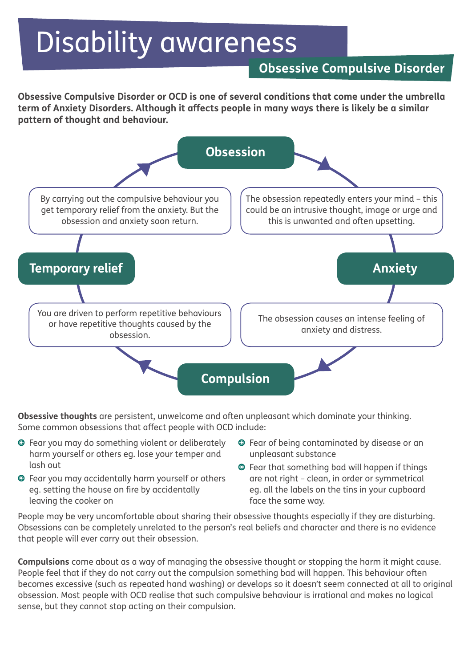# Disability awareness

## **Obsessive Compulsive Disorder**

**Obsessive Compulsive Disorder or OCD is one of several conditions that come under the umbrella term of Anxiety Disorders. Although it affects people in many ways there is likely be a similar pattern of thought and behaviour.**



**Obsessive thoughts** are persistent, unwelcome and often unpleasant which dominate your thinking. Some common obsessions that affect people with OCD include:

- Fear you may do something violent or deliberately harm yourself or others eg. lose your temper and lash out
- Fear you may accidentally harm yourself or others eg. setting the house on fire by accidentally leaving the cooker on
- Fear of being contaminated by disease or an unpleasant substance
- Fear that something bad will happen if things are not right – clean, in order or symmetrical eg. all the labels on the tins in your cupboard face the same way.

People may be very uncomfortable about sharing their obsessive thoughts especially if they are disturbing. Obsessions can be completely unrelated to the person's real beliefs and character and there is no evidence that people will ever carry out their obsession.

**Compulsions** come about as a way of managing the obsessive thought or stopping the harm it might cause. People feel that if they do not carry out the compulsion something bad will happen. This behaviour often becomes excessive (such as repeated hand washing) or develops so it doesn't seem connected at all to original obsession. Most people with OCD realise that such compulsive behaviour is irrational and makes no logical sense, but they cannot stop acting on their compulsion.